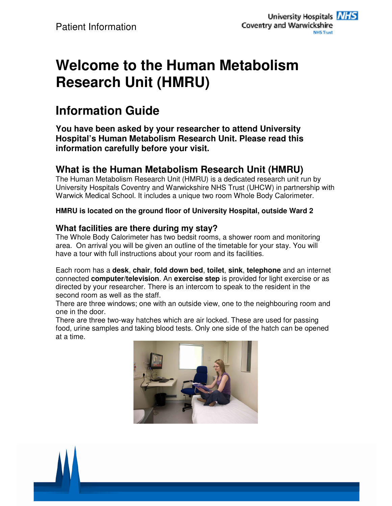# **Welcome to the Human Metabolism Research Unit (HMRU)**

## **Information Guide**

**You have been asked by your researcher to attend University Hospital's Human Metabolism Research Unit. Please read this information carefully before your visit.** 

### **What is the Human Metabolism Research Unit (HMRU)**

The Human Metabolism Research Unit (HMRU) is a dedicated research unit run by University Hospitals Coventry and Warwickshire NHS Trust (UHCW) in partnership with Warwick Medical School. It includes a unique two room Whole Body Calorimeter.

#### **HMRU is located on the ground floor of University Hospital, outside Ward 2**

#### **What facilities are there during my stay?**

The Whole Body Calorimeter has two bedsit rooms, a shower room and monitoring area. On arrival you will be given an outline of the timetable for your stay. You will have a tour with full instructions about your room and its facilities.

Each room has a **desk**, **chair**, **fold down bed**, **toilet**, **sink**, **telephone** and an internet connected **computer/television**. An **exercise step** is provided for light exercise or as directed by your researcher. There is an intercom to speak to the resident in the second room as well as the staff.

There are three windows; one with an outside view, one to the neighbouring room and one in the door.

There are three two-way hatches which are air locked. These are used for passing food, urine samples and taking blood tests. Only one side of the hatch can be opened at a time.



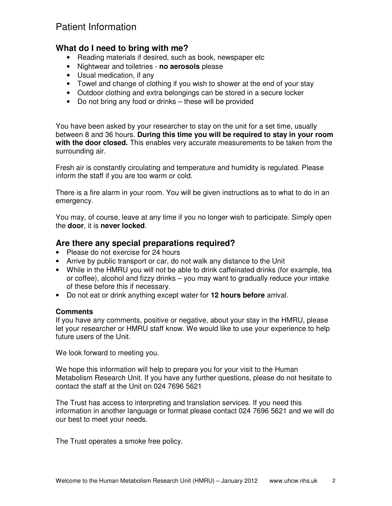## Patient Information

#### **What do I need to bring with me?**

- Reading materials if desired, such as book, newspaper etc
- Nightwear and toiletries **no aerosols** please
- Usual medication, if any
- Towel and change of clothing if you wish to shower at the end of your stay
- Outdoor clothing and extra belongings can be stored in a secure locker
- Do not bring any food or drinks these will be provided

You have been asked by your researcher to stay on the unit for a set time, usually between 8 and 36 hours. **During this time you will be required to stay in your room with the door closed.** This enables very accurate measurements to be taken from the surrounding air.

Fresh air is constantly circulating and temperature and humidity is regulated. Please inform the staff if you are too warm or cold.

There is a fire alarm in your room. You will be given instructions as to what to do in an emergency.

You may, of course, leave at any time if you no longer wish to participate. Simply open the **door**, it is **never locked**.

#### **Are there any special preparations required?**

- Please do not exercise for 24 hours
- Arrive by public transport or car, do not walk any distance to the Unit
- While in the HMRU you will not be able to drink caffeinated drinks (for example, tea or coffee), alcohol and fizzy drinks – you may want to gradually reduce your intake of these before this if necessary.
- Do not eat or drink anything except water for **12 hours before** arrival.

#### **Comments**

If you have any comments, positive or negative, about your stay in the HMRU, please let your researcher or HMRU staff know. We would like to use your experience to help future users of the Unit.

We look forward to meeting you.

We hope this information will help to prepare you for your visit to the Human Metabolism Research Unit. If you have any further questions, please do not hesitate to contact the staff at the Unit on 024 7696 5621

The Trust has access to interpreting and translation services. If you need this information in another language or format please contact 024 7696 5621 and we will do our best to meet your needs.

The Trust operates a smoke free policy.